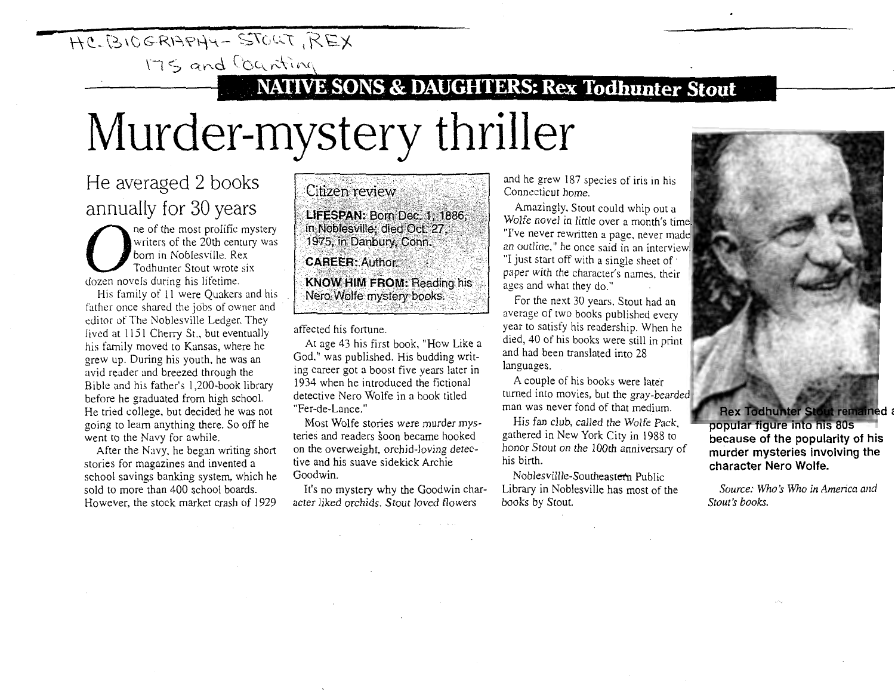## $\overline{HCLB1CGRBPHY-STOUT}$ , REX

 $175$  and counting

## **121 NATIVE SONS & DAUGHTERS: Rex Todhunter Stout**

## **Murder-mystery thriller**

He averaged 2 books annually for 30 years

ne of the most prolific mystery<br>writers of the 20th century was<br>born in Noblesville. Rex<br>Todhunter Stout wrote six dozen novels during his lifetime.

His family of 11 were Quakers and his father once shared the jobs of owner and editor of The Noblesville Ledger. They lived at 1151 Cherry St., but eventually his family moved to Kansas, where he grew up. During his youth, he was an avid reader and breezed through the Bible and his father's 1 ,200-book library before he graduated from high school. He tried college, but decided he was not going to learn anything there. So off he went to the Navy for awhile.

After the Navy, he began writing short stories for magazines and invented a school savings banking system, which he sold to more than 400 school boards. However, the stock market crash of 1929 Citizen review LIFESPAN: Born Dec. 1, 1886, in Noblesville; died Oct. 27, 1975, in Danbury, Conn. **CAREER: Author.** 

**KNOW HIM FROM: Reading his** Nero Wolfe mystery books.

affected his fortune.

At age 43 his first book, "How Like a God," was published. His budding writing career got a boost five years later in 1934 when he introduced the fictional detective Nero Wolfe in a book titled "Fer-de-Lance."

Most Wolfe stories were murder mysteries and readers soon became hooked on the overweight, orchid-loving detective and his suave sidekick Archie Goodwin.

It's no mystery why the Goodwin character liked orchids. Stout loved flowers

and he grew 187 species of iris in his Connecticut home.

Amazingly, Stout could whip out a Wolfe novel in little over a month's time. "I've never rewritten a page, never made an outline," he once said in an interview. "I just start off with a single sheet of· paper with the character's names. their ages and what they do."

For the next 30 years. Stout had an average of two books published every year to satisfy his readership. When he died, 40 of his books were still in print and had been translated into 28 languages.

A couple of his books were later turned into movies, but the gray-bearded man was never fond of that medium.

His fan club, called the Wolfe Pack, gathered in New York City in 1988 to honor Stout on the 100th anniversary of his birth.

Noblesvillle-Southeastern Public Library in Noblesville has most of the books by Stout.



**popular figure into his 80s because of the popularity of his murder mysteries involving the character Nero Wolfe.** 

Source: Who's Who in America and *Stout's books.*